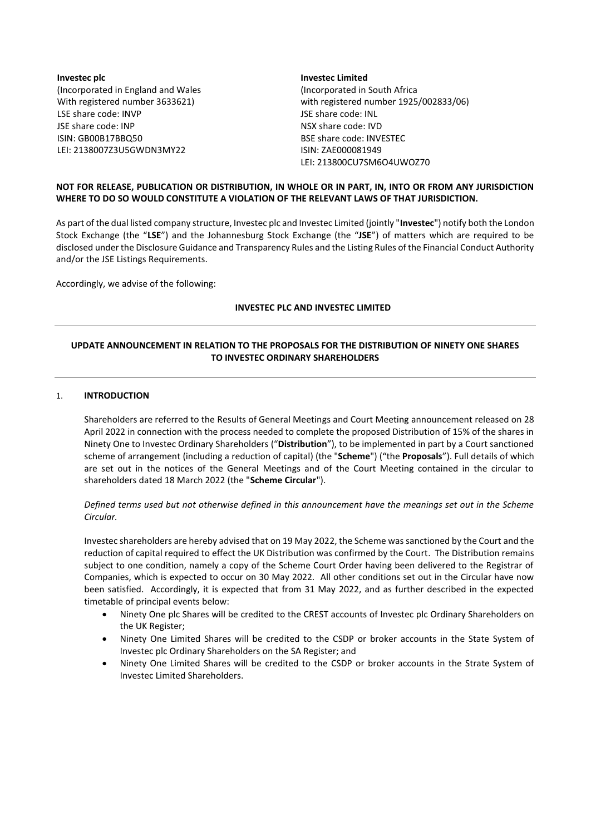**Investec plc** (Incorporated in England and Wales With registered number 3633621) LSE share code: INVP JSE share code: INP ISIN: GB00B17BBQ50 LEI: 2138007Z3U5GWDN3MY22

## **Investec Limited** (Incorporated in South Africa with registered number 1925/002833/06) JSE share code: INL NSX share code: IVD BSE share code: INVESTEC ISIN: ZAE000081949 LEI: 213800CU7SM6O4UWOZ70

# **NOT FOR RELEASE, PUBLICATION OR DISTRIBUTION, IN WHOLE OR IN PART, IN, INTO OR FROM ANY JURISDICTION WHERE TO DO SO WOULD CONSTITUTE A VIOLATION OF THE RELEVANT LAWS OF THAT JURISDICTION.**

As part of the dual listed company structure, Investec plc and Investec Limited (jointly "**Investec**") notify both the London Stock Exchange (the "**LSE**") and the Johannesburg Stock Exchange (the "**JSE**") of matters which are required to be disclosed under the Disclosure Guidance and Transparency Rules and the Listing Rules of the Financial Conduct Authority and/or the JSE Listings Requirements.

Accordingly, we advise of the following:

## **INVESTEC PLC AND INVESTEC LIMITED**

# **UPDATE ANNOUNCEMENT IN RELATION TO THE PROPOSALS FOR THE DISTRIBUTION OF NINETY ONE SHARES TO INVESTEC ORDINARY SHAREHOLDERS**

### 1. **INTRODUCTION**

Shareholders are referred to the Results of General Meetings and Court Meeting announcement released on 28 April 2022 in connection with the process needed to complete the proposed Distribution of 15% of the shares in Ninety One to Investec Ordinary Shareholders ("**Distribution**"), to be implemented in part by a Court sanctioned scheme of arrangement (including a reduction of capital) (the "**Scheme**") ("the **Proposals**"). Full details of which are set out in the notices of the General Meetings and of the Court Meeting contained in the circular to shareholders dated 18 March 2022 (the "**Scheme Circular**").

*Defined terms used but not otherwise defined in this announcement have the meanings set out in the Scheme Circular.*

Investec shareholders are hereby advised that on 19 May 2022, the Scheme was sanctioned by the Court and the reduction of capital required to effect the UK Distribution was confirmed by the Court. The Distribution remains subject to one condition, namely a copy of the Scheme Court Order having been delivered to the Registrar of Companies, which is expected to occur on 30 May 2022. All other conditions set out in the Circular have now been satisfied. Accordingly, it is expected that from 31 May 2022, and as further described in the expected timetable of principal events below:

- Ninety One plc Shares will be credited to the CREST accounts of Investec plc Ordinary Shareholders on the UK Register;
- Ninety One Limited Shares will be credited to the CSDP or broker accounts in the State System of Investec plc Ordinary Shareholders on the SA Register; and
- Ninety One Limited Shares will be credited to the CSDP or broker accounts in the Strate System of Investec Limited Shareholders.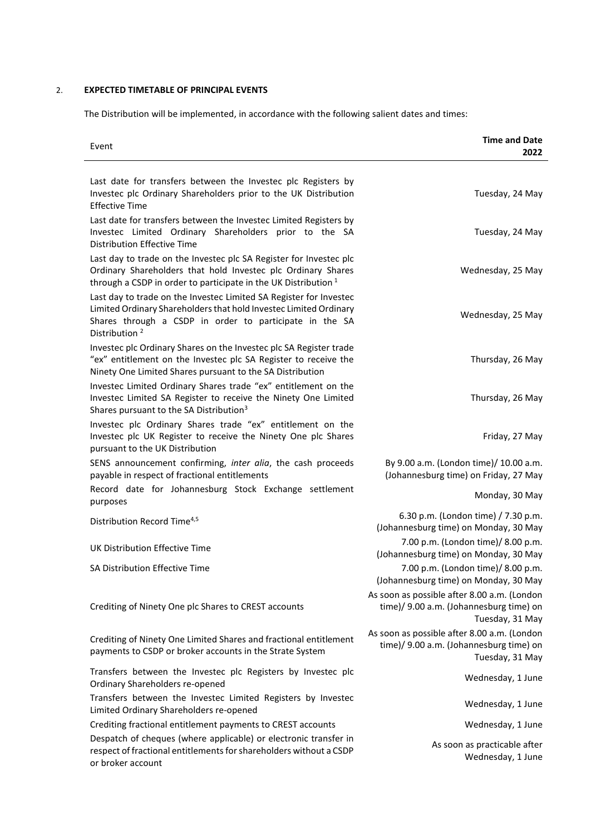# 2. **EXPECTED TIMETABLE OF PRINCIPAL EVENTS**

The Distribution will be implemented, in accordance with the following salient dates and times:

| Event                                                                                                                                                                                                                           | <b>Time and Date</b><br>2022                                                                                                                       |
|---------------------------------------------------------------------------------------------------------------------------------------------------------------------------------------------------------------------------------|----------------------------------------------------------------------------------------------------------------------------------------------------|
| Last date for transfers between the Investec plc Registers by<br>Investec plc Ordinary Shareholders prior to the UK Distribution<br><b>Effective Time</b>                                                                       | Tuesday, 24 May                                                                                                                                    |
| Last date for transfers between the Investec Limited Registers by<br>Investec Limited Ordinary Shareholders prior to the SA<br><b>Distribution Effective Time</b>                                                               | Tuesday, 24 May                                                                                                                                    |
| Last day to trade on the Investec plc SA Register for Investec plc<br>Ordinary Shareholders that hold Investec plc Ordinary Shares<br>through a CSDP in order to participate in the UK Distribution $1$                         | Wednesday, 25 May                                                                                                                                  |
| Last day to trade on the Investec Limited SA Register for Investec<br>Limited Ordinary Shareholders that hold Investec Limited Ordinary<br>Shares through a CSDP in order to participate in the SA<br>Distribution <sup>2</sup> | Wednesday, 25 May                                                                                                                                  |
| Investec plc Ordinary Shares on the Investec plc SA Register trade<br>"ex" entitlement on the Investec plc SA Register to receive the<br>Ninety One Limited Shares pursuant to the SA Distribution                              | Thursday, 26 May                                                                                                                                   |
| Investec Limited Ordinary Shares trade "ex" entitlement on the<br>Investec Limited SA Register to receive the Ninety One Limited<br>Shares pursuant to the SA Distribution <sup>3</sup>                                         | Thursday, 26 May                                                                                                                                   |
| Investec plc Ordinary Shares trade "ex" entitlement on the<br>Investec plc UK Register to receive the Ninety One plc Shares<br>pursuant to the UK Distribution                                                                  | Friday, 27 May                                                                                                                                     |
| SENS announcement confirming, inter alia, the cash proceeds<br>payable in respect of fractional entitlements                                                                                                                    | By 9.00 a.m. (London time)/ 10.00 a.m.<br>(Johannesburg time) on Friday, 27 May                                                                    |
| Record date for Johannesburg Stock Exchange settlement<br>purposes                                                                                                                                                              | Monday, 30 May                                                                                                                                     |
| Distribution Record Time <sup>4,5</sup>                                                                                                                                                                                         | 6.30 p.m. (London time) / 7.30 p.m.<br>(Johannesburg time) on Monday, 30 May                                                                       |
| UK Distribution Effective Time                                                                                                                                                                                                  | 7.00 p.m. (London time)/ 8.00 p.m.<br>(Johannesburg time) on Monday, 30 May                                                                        |
| SA Distribution Effective Time                                                                                                                                                                                                  | 7.00 p.m. (London time)/ 8.00 p.m.                                                                                                                 |
| Crediting of Ninety One plc Shares to CREST accounts                                                                                                                                                                            | (Johannesburg time) on Monday, 30 May<br>As soon as possible after 8.00 a.m. (London<br>time)/ 9.00 a.m. (Johannesburg time) on<br>Tuesday, 31 May |
| Crediting of Ninety One Limited Shares and fractional entitlement<br>payments to CSDP or broker accounts in the Strate System                                                                                                   | As soon as possible after 8.00 a.m. (London<br>time)/ 9.00 a.m. (Johannesburg time) on<br>Tuesday, 31 May                                          |
| Transfers between the Investec plc Registers by Investec plc<br>Ordinary Shareholders re-opened                                                                                                                                 | Wednesday, 1 June                                                                                                                                  |
| Transfers between the Investec Limited Registers by Investec<br>Limited Ordinary Shareholders re-opened                                                                                                                         | Wednesday, 1 June                                                                                                                                  |
| Crediting fractional entitlement payments to CREST accounts                                                                                                                                                                     | Wednesday, 1 June                                                                                                                                  |
| Despatch of cheques (where applicable) or electronic transfer in<br>respect of fractional entitlements for shareholders without a CSDP<br>or broker account                                                                     | As soon as practicable after<br>Wednesday, 1 June                                                                                                  |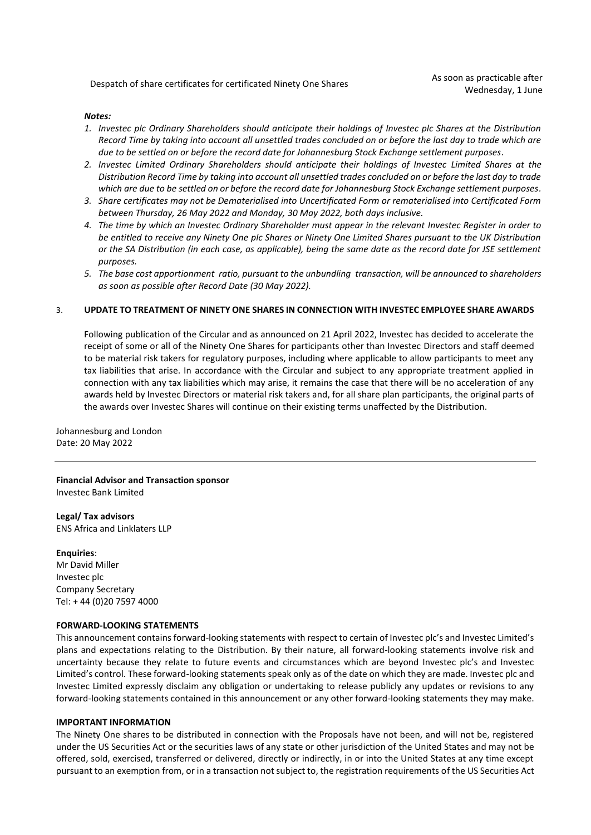Despatch of share certificates for certificated Ninety One Shares As soon as practicable after

### *Notes:*

- *1. Investec plc Ordinary Shareholders should anticipate their holdings of Investec plc Shares at the Distribution Record Time by taking into account all unsettled trades concluded on or before the last day to trade which are due to be settled on or before the record date for Johannesburg Stock Exchange settlement purposes.*
- *2. Investec Limited Ordinary Shareholders should anticipate their holdings of Investec Limited Shares at the Distribution Record Time by taking into account all unsettled trades concluded on or before the last day to trade which are due to be settled on or before the record date for Johannesburg Stock Exchange settlement purposes.*
- *3. Share certificates may not be Dematerialised into Uncertificated Form or rematerialised into Certificated Form between Thursday, 26 May 2022 and Monday, 30 May 2022, both days inclusive.*
- *4. The time by which an Investec Ordinary Shareholder must appear in the relevant Investec Register in order to be entitled to receive any Ninety One plc Shares or Ninety One Limited Shares pursuant to the UK Distribution or the SA Distribution (in each case, as applicable), being the same date as the record date for JSE settlement purposes.*
- *5. The base cost apportionment ratio, pursuant to the unbundling transaction, will be announced to shareholders as soon as possible after Record Date (30 May 2022).*

### 3. **UPDATE TO TREATMENT OF NINETY ONE SHARES IN CONNECTION WITH INVESTEC EMPLOYEE SHARE AWARDS**

Following publication of the Circular and as announced on 21 April 2022, Investec has decided to accelerate the receipt of some or all of the Ninety One Shares for participants other than Investec Directors and staff deemed to be material risk takers for regulatory purposes, including where applicable to allow participants to meet any tax liabilities that arise. In accordance with the Circular and subject to any appropriate treatment applied in connection with any tax liabilities which may arise, it remains the case that there will be no acceleration of any awards held by Investec Directors or material risk takers and, for all share plan participants, the original parts of the awards over Investec Shares will continue on their existing terms unaffected by the Distribution.

Johannesburg and London Date: 20 May 2022

**Financial Advisor and Transaction sponsor**  Investec Bank Limited

**Legal/ Tax advisors**  ENS Africa and Linklaters LLP

#### **Enquiries**:

Mr David Miller Investec plc Company Secretary Tel: + 44 (0)20 7597 4000

#### **FORWARD-LOOKING STATEMENTS**

This announcement contains forward-looking statements with respect to certain of Investec plc's and Investec Limited's plans and expectations relating to the Distribution. By their nature, all forward-looking statements involve risk and uncertainty because they relate to future events and circumstances which are beyond Investec plc's and Investec Limited's control. These forward-looking statements speak only as of the date on which they are made. Investec plc and Investec Limited expressly disclaim any obligation or undertaking to release publicly any updates or revisions to any forward-looking statements contained in this announcement or any other forward-looking statements they may make.

### **IMPORTANT INFORMATION**

The Ninety One shares to be distributed in connection with the Proposals have not been, and will not be, registered under the US Securities Act or the securities laws of any state or other jurisdiction of the United States and may not be offered, sold, exercised, transferred or delivered, directly or indirectly, in or into the United States at any time except pursuant to an exemption from, or in a transaction not subject to, the registration requirements of the US Securities Act